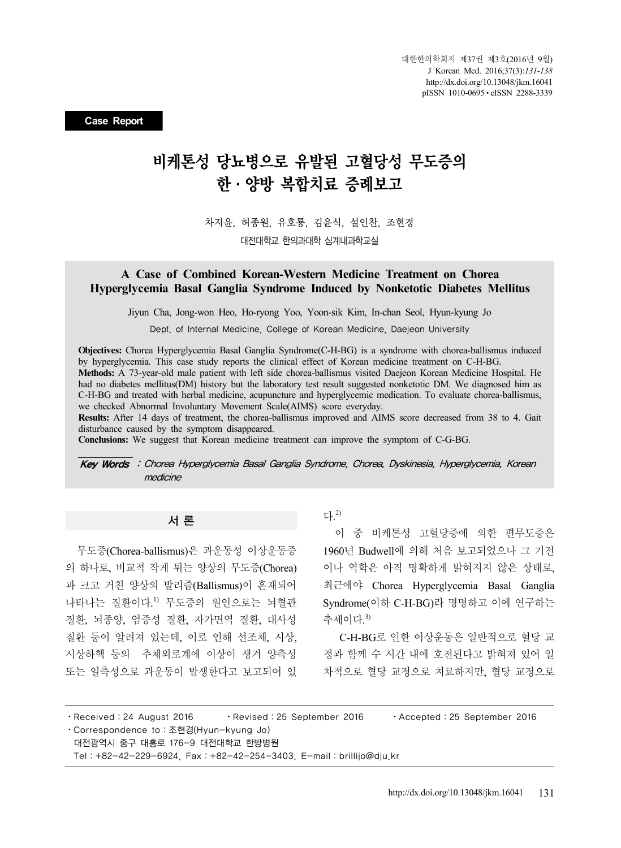**Case Report**

# 비케톤성 당뇨병으로 유발된 고혈당성 무도증의 한·양방 복합치료 증례보고

차지윤, 허종원, 유호룡, 김윤식, 설인찬, 조현경 대전대학교 한의과대학 심계내과학교실

## **A Case of Combined Korean-Western Medicine Treatment on Chorea Hyperglycemia Basal Ganglia Syndrome Induced by Nonketotic Diabetes Mellitus**

Jiyun Cha, Jong-won Heo, Ho-ryong Yoo, Yoon-sik Kim, In-chan Seol, Hyun-kyung Jo

Dept. of Internal Medicine, College of Korean Medicine, Daejeon University

**Objectives:** Chorea Hyperglycemia Basal Ganglia Syndrome(C-H-BG) is a syndrome with chorea-ballismus induced by hyperglycemia. This case study reports the clinical effect of Korean medicine treatment on C-H-BG. **Methods:** A 73-year-old male patient with left side chorea-ballismus visited Daejeon Korean Medicine Hospital. He had no diabetes mellitus(DM) history but the laboratory test result suggested nonketotic DM. We diagnosed him as C-H-BG and treated with herbal medicine, acupuncture and hyperglycemic medication. To evaluate chorea-ballismus, we checked Abnormal Involuntary Movement Scale(AIMS) score everyday.

**Results:** After 14 days of treatment, the chorea-ballismus improved and AIMS score decreased from 38 to 4. Gait disturbance caused by the symptom disappeared.

**Conclusions:** We suggest that Korean medicine treatment can improve the symptom of C-G-BG.

Key Words : Chorea Hyperglycemia Basal Ganglia Syndrome, Chorea, Dyskinesia, Hyperglycemia, Korean medicine

#### 서 론

무도증(Chorea-ballismus)은 과운동성 이상운동증 의 하나로, 비교적 작게 튀는 양상의 무도증(Chorea) 과 크고 거친 양상의 발리즘(Ballismus)이 혼재되어 나타나는 질환이다. 1) 무도증의 원인으로는 뇌혈관 질환, 뇌종양, 염증성 질환, 자가면역 질환, 대사성 질환 등이 알려져 있는데, 이로 인해 선조체, 시상, 시상하핵 등의 추체외로계에 이상이 생겨 양측성 또는 일측성으로 과운동이 발생한다고 보고되어 있 다. 2)

이 중 비케톤성 고혈당증에 의한 편무도증은 1960년 Budwell에 의해 처음 보고되었으나 그 기전 이나 역학은 아직 명확하게 밝혀지지 않은 상태로, 최근에야 Chorea Hyperglycemia Basal Ganglia Syndrome(이하 C-H-BG)라 명명하고 이에 연구하는 추세이다. 3)

 C-H-BG로 인한 이상운동은 일반적으로 혈당 교 정과 함께 수 시간 내에 호전된다고 밝혀져 있어 일 차적으로 혈당 교정으로 치료하지만, 혈당 교정으로

⋅Received:24 August 2016 ⋅Revised:25 September 2016 ⋅Accepted:25 September 2016 ⋅Correspondence to:조현경(Hyun-kyung Jo) 대전광역시 중구 대흥로 176-9 대전대학교 한방병원 Tel:+82-42-229-6924, Fax:+82-42-254-3403, E-mail:brillijo@dju.kr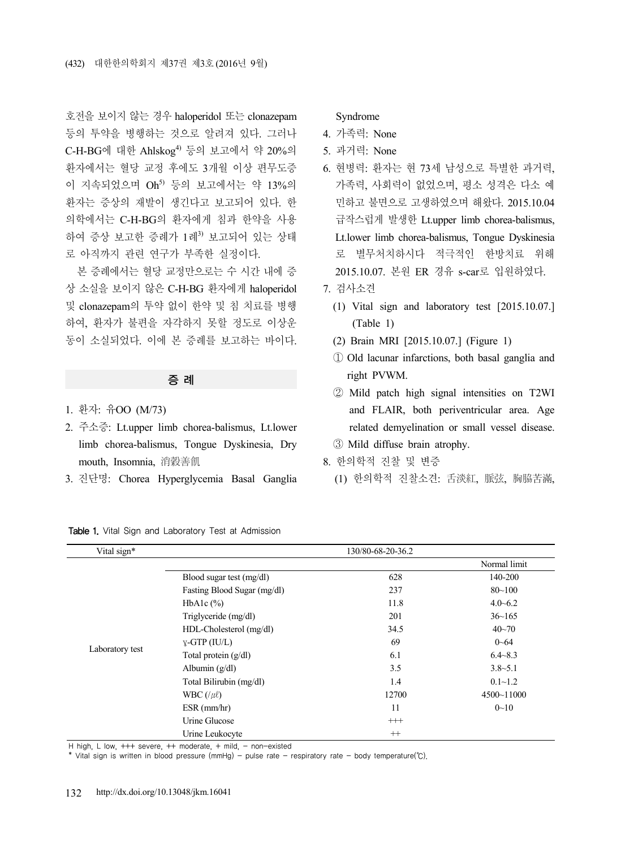호전을 보이지 않는 경우 haloperidol 또는 clonazepam 등의 투약을 병행하는 것으로 알려져 있다. 그러나 C-H-BG에 대한 Ahlskog<sup>4)</sup> 등의 보고에서 약 20%의 환자에서는 혈당 교정 후에도 3개월 이상 편무도증 이 지속되었으며 Oh<sup>5)</sup> 등의 보고에서는 약 13%의 환자는 증상의 재발이 생긴다고 보고되어 있다. 한 의학에서는 C-H-BG의 환자에게 침과 한약을 사용 하여 증상 보고한 증례가 1례3) 보고되어 있는 상태 로 아직까지 관련 연구가 부족한 실정이다.

본 증례에서는 혈당 교정만으로는 수 시간 내에 증 상 소실을 보이지 않은 C-H-BG 환자에게 haloperidol 및 clonazepam의 투약 없이 한약 및 침 치료를 병행 하여, 환자가 불편을 자각하지 못할 정도로 이상운 동이 소실되었다. 이에 본 증례를 보고하는 바이다.

### 증 례

- 1. 환자: 유OO (M/73)
- 2. 주소증: Lt.upper limb chorea-balismus, Lt.lower limb chorea-balismus, Tongue Dyskinesia, Dry mouth, Insomnia, 消穀善飢
- 3. 진단명: Chorea Hyperglycemia Basal Ganglia

Table 1. Vital Sign and Laboratory Test at Admission

#### Syndrome

- 4. 가족력: None
- 5. 과거력: None
- 6. 현병력: 환자는 현 73세 남성으로 특별한 과거력, 가족력, 사회력이 없었으며, 평소 성격은 다소 예 민하고 불면으로 고생하였으며 해왔다. 2015.10.04 급작스럽게 발생한 Lt.upper limb chorea-balismus, Lt.lower limb chorea-balismus, Tongue Dyskinesia 로 별무처치하시다 적극적인 한방치료 위해 2015.10.07. 본원 ER 경유 s-car로 입원하였다.
- 7. 검사소견
	- (1) Vital sign and laboratory test [2015.10.07.] (Table 1)
	- (2) Brain MRI [2015.10.07.] (Figure 1)
	- ① Old lacunar infarctions, both basal ganglia and right PVWM.
	- ② Mild patch high signal intensities on T2WI and FLAIR, both periventricular area. Age related demyelination or small vessel disease.
	- ③ Mild diffuse brain atrophy.
- 8. 한의학적 진찰 및 변증
	- (1) 한의학적 진찰소견: 舌淡紅, 脈弦, 胸脇苦滿,

| Vital sign*     | 130/80-68-20-36.2           |          |                |  |  |
|-----------------|-----------------------------|----------|----------------|--|--|
|                 |                             |          | Normal limit   |  |  |
| Laboratory test | Blood sugar test (mg/dl)    | 628      | 140-200        |  |  |
|                 | Fasting Blood Sugar (mg/dl) | 237      | $80 - 100$     |  |  |
|                 | HbAlc $(\% )$               | 11.8     | $4.0 - 6.2$    |  |  |
|                 | Triglyceride (mg/dl)        | 201      | $36 - 165$     |  |  |
|                 | HDL-Cholesterol (mg/dl)     | 34.5     | $40 - 70$      |  |  |
|                 | $\gamma$ -GTP (IU/L)        | 69       | $0 - 64$       |  |  |
|                 | Total protein $(g/dl)$      | 6.1      | $6.4 - 8.3$    |  |  |
|                 | Albumin $(g/dl)$            | 3.5      | $3.8 - 5.1$    |  |  |
|                 | Total Bilirubin (mg/dl)     | 1.4      | $0.1 - 1.2$    |  |  |
|                 | WBC $(\ell \mu \ell)$       | 12700    | $4500 - 11000$ |  |  |
|                 | $ESR$ (mm/hr)               | 11       | $0 - 10$       |  |  |
|                 | Urine Glucose               | $^{+++}$ |                |  |  |
|                 | Urine Leukocyte             | $^{+}$   |                |  |  |

H high, L low,  $+++$  severe,  $++$  moderate,  $+$  mild,  $-$  non-existed

\* Vital sign is written in blood pressure (mmHg) - pulse rate - respiratory rate - body temperature(℃).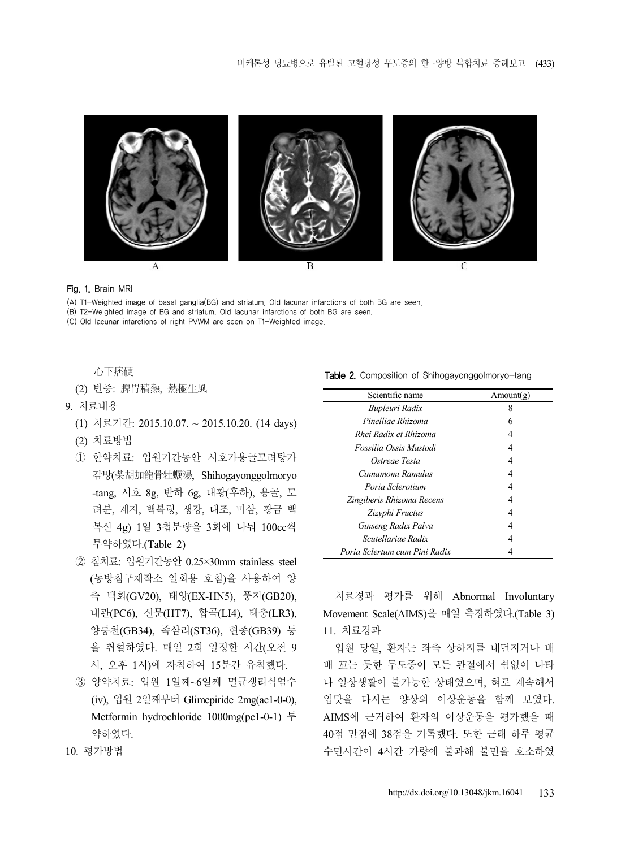

#### Fig. 1. Brain MRI

(A) T1-Weighted image of basal ganglia(BG) and striatum. Old lacunar infarctions of both BG are seen.

(B) T2-Weighted image of BG and striatum. Old lacunar infarctions of both BG are seen.

(C) Old lacunar infarctions of right PVWM are seen on T1-Weighted image.

心下痞硬

(2) 변증: 脾胃積熱, 熱極生風

- 9. 치료내용
	- (1) 치료기간: 2015.10.07. ~ 2015.10.20. (14 days)
	- (2) 치료방법
	- ① 한약치료: 입원기간동안 시호가용골모려탕가 감방(柴胡加龍骨牡蠣湯, Shihogayonggolmoryo -tang, 시호 8g, 반하 6g, 대황(후하), 용골, 모 려분, 계지, 백복령, 생강, 대조, 미삼, 황금 백 복신 4g) 1일 3첩분량을 3회에 나눠 100cc씩 투약하였다.(Table 2)
	- ② 침치료: 입원기간동안 0.25×30mm stainless steel (동방침구제작소 일회용 호침)을 사용하여 양 측 백회(GV20), 태양(EX-HN5), 풍지(GB20), 내관(PC6), 신문(HT7), 합곡(LI4), 태충(LR3), 양릉천(GB34), 족삼리(ST36), 현종(GB39) 등 을 취혈하였다. 매일 2회 일정한 시간(오전 9 시, 오후 1시)에 자침하여 15분간 유침했다.
	- ③ 양약치료: 입원 1일째~6일째 멸균생리식염수 (iv), 입원 2일째부터 Glimepiride 2mg(ac1-0-0), Metformin hydrochloride 1000mg(pc1-0-1) 투 약하였다.

Table 2. Composition of Shihogayonggolmoryo-tang

| Scientific name               | Amount(g) |  |  |
|-------------------------------|-----------|--|--|
| Bupleuri Radix                | 8         |  |  |
| Pinelliae Rhizoma             | 6         |  |  |
| Rhei Radix et Rhizoma         | 4         |  |  |
| Fossilia Ossis Mastodi        | 4         |  |  |
| Ostreae Testa                 | 4         |  |  |
| Cinnamomi Ramulus             | 4         |  |  |
| Poria Sclerotium              | 4         |  |  |
| Zingiberis Rhizoma Recens     | 4         |  |  |
| Zizyphi Fructus               | 4         |  |  |
| Ginseng Radix Palva           | 4         |  |  |
| Scutellariae Radix            | 4         |  |  |
| Poria Sclertum cum Pini Radix | 4         |  |  |

치료경과 평가를 위해 Abnormal Involuntary Movement Scale(AIMS)을 매일 측정하였다.(Table 3) 11. 치료경과

입원 당일, 환자는 좌측 상하지를 내던지거나 배 배 꼬는 듯한 무도증이 모든 관절에서 쉼없이 나타 나 일상생활이 불가능한 상태였으며, 혀로 계속해서 입맛을 다시는 양상의 이상운동을 함께 보였다. AIMS에 근거하여 환자의 이상운동을 평가했을 때 40점 만점에 38점을 기록했다. 또한 근래 하루 평균 수면시간이 4시간 가량에 불과해 불면을 호소하였

10. 평가방법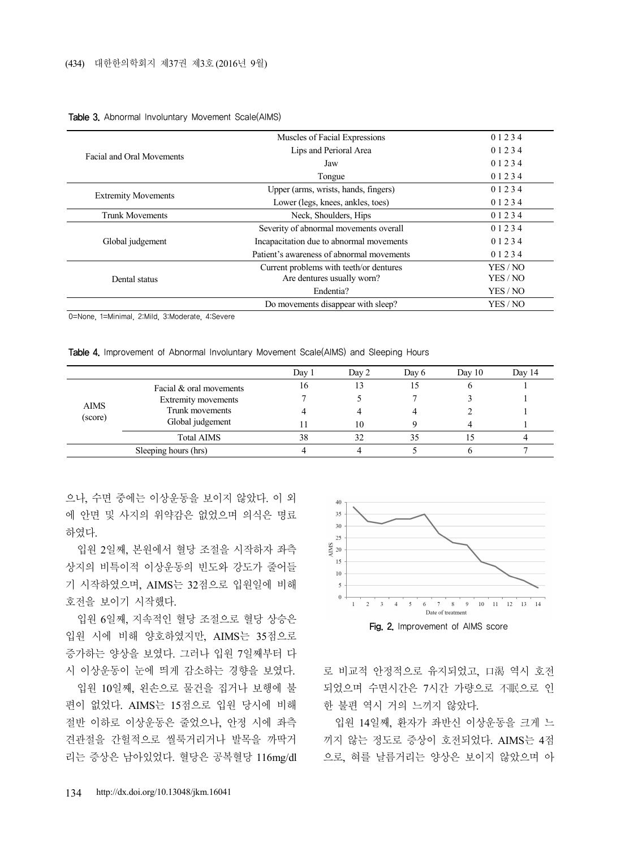|                            | Muscles of Facial Expressions             | 01234    |
|----------------------------|-------------------------------------------|----------|
|                            | Lips and Perioral Area                    | 01234    |
| Facial and Oral Movements  | Jaw                                       | 01234    |
|                            | Tongue                                    | 01234    |
|                            | Upper (arms, wrists, hands, fingers)      | 01234    |
| <b>Extremity Movements</b> | Lower (legs, knees, ankles, toes)         | 01234    |
| <b>Trunk Movements</b>     | Neck, Shoulders, Hips                     | 01234    |
|                            | Severity of abnormal movements overall    | 01234    |
| Global judgement           | Incapacitation due to abnormal movements  | 01234    |
|                            | Patient's awareness of abnormal movements | 01234    |
|                            | Current problems with teeth/or dentures   | YES / NO |
| Dental status              | Are dentures usually worn?                | YES / NO |
|                            | Endentia?                                 | YES / NO |
|                            | Do movements disappear with sleep?        | YES / NO |

#### Table 3. Abnormal Involuntary Movement Scale(AIMS)

0=None, 1=Minimal, 2:Mild, 3:Moderate, 4:Severe

Table 4. Improvement of Abnormal Involuntary Movement Scale(AIMS) and Sleeping Hours

|                        |                                                                   | Day 1 | Day 2 | Day 6 | Day $10$ | Day 14 |
|------------------------|-------------------------------------------------------------------|-------|-------|-------|----------|--------|
| <b>AIMS</b><br>(score) | Facial & oral movements<br>Extremity movements<br>Trunk movements | 16    |       |       |          |        |
|                        |                                                                   |       |       |       |          |        |
|                        |                                                                   |       |       |       |          |        |
|                        | Global judgement                                                  |       | 10    |       |          |        |
|                        | <b>Total AIMS</b>                                                 | 38    | 32    | 35    |          |        |
| Sleeping hours (hrs)   |                                                                   |       |       |       |          |        |

으나, 수면 중에는 이상운동을 보이지 않았다. 이 외 에 안면 및 사지의 위약감은 없었으며 의식은 명료 하였다.

입원 2일째, 본원에서 혈당 조절을 시작하자 좌측 상지의 비특이적 이상운동의 빈도와 강도가 줄어들 기 시작하였으며, AIMS는 32점으로 입원일에 비해 호전을 보이기 시작했다.

입원 6일째, 지속적인 혈당 조절으로 혈당 상승은 입원 시에 비해 양호하였지만, AIMS는 35점으로 증가하는 양상을 보였다. 그러나 입원 7일째부터 다 시 이상운동이 눈에 띄게 감소하는 경향을 보였다.

입원 10일째, 왼손으로 물건을 집거나 보행에 불 편이 없었다. AIMS는 15점으로 입원 당시에 비해 절반 이하로 이상운동은 줄었으나, 안정 시에 좌측 견관절을 간헐적으로 씰룩거리거나 발목을 까딱거 리는 증상은 남아있었다. 혈당은 공복혈당 116mg/dl



로 비교적 안정적으로 유지되었고, 口渴 역시 호전 되었으며 수면시간은 7시간 가량으로 不眠으로 인 한 불편 역시 거의 느끼지 않았다.

입원 14일째, 환자가 좌반신 이상운동을 크게 느 끼지 않는 정도로 증상이 호전되었다. AIMS는 4점 으로, 혀를 날름거리는 양상은 보이지 않았으며 아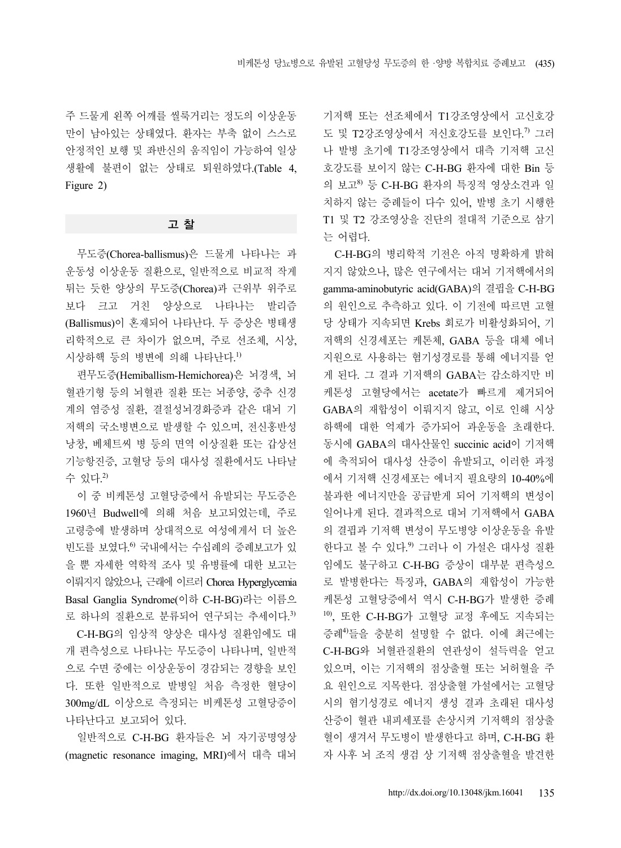주 드물게 왼쪽 어깨를 씰룩거리는 정도의 이상운동 만이 남아있는 상태였다. 환자는 부축 없이 스스로 안정적인 보행 및 좌반신의 움직임이 가능하여 일상 생활에 불편이 없는 상태로 퇴원하였다.(Table 4, Figure 2)

### 고 찰

무도증(Chorea-ballismus)은 드물게 나타나는 과 운동성 이상운동 질환으로, 일반적으로 비교적 작게 튀는 듯한 양상의 무도증(Chorea)과 근위부 위주로 보다 크고 거친 양상으로 나타나는 발리즘 (Ballismus)이 혼재되어 나타난다. 두 증상은 병태생 리학적으로 큰 차이가 없으며, 주로 선조체, 시상, 시상하핵 등의 병변에 의해 나타난다. 1)

편무도증(Hemiballism-Hemichorea)은 뇌경색, 뇌 혈관기형 등의 뇌혈관 질환 또는 뇌종양, 중추 신경 계의 염증성 질환, 결절성뇌경화증과 같은 대뇌 기 저핵의 국소병변으로 발생할 수 있으며, 전신홍반성 낭창, 베체트씨 병 등의 면역 이상질환 또는 갑상선 기능항진증, 고혈당 등의 대사성 질환에서도 나타날 수 있다. 2)

이 중 비케톤성 고혈당증에서 유발되는 무도증은 1960년 Budwell에 의해 처음 보고되었는데, 주로 고령층에 발생하며 상대적으로 여성에게서 더 높은 빈도를 보였다. 6) 국내에서는 수십례의 증례보고가 있 을 뿐 자세한 역학적 조사 및 유병률에 대한 보고는 이뤄지지 않았으나, 근래에 이르러 Chorea Hyperglycemia Basal Ganglia Syndrome(이하 C-H-BG)라는 이름으 로 하나의 질환으로 분류되어 연구되는 추세이다. 3)

C-H-BG의 임상적 양상은 대사성 질환임에도 대 개 편측성으로 나타나는 무도증이 나타나며, 일반적 으로 수면 중에는 이상운동이 경감되는 경향을 보인 다. 또한 일반적으로 발병일 처음 측정한 혈당이 300mg/dL 이상으로 측정되는 비케톤성 고혈당증이 나타난다고 보고되어 있다.

일반적으로 C-H-BG 환자들은 뇌 자기공명영상 (magnetic resonance imaging, MRI)에서 대측 대뇌 기저핵 또는 선조체에서 T1강조영상에서 고신호강 도 및 T2강조영상에서 저신호강도를 보인다.<sup>7)</sup> 그러 나 발병 초기에 T1강조영상에서 대측 기저핵 고신 호강도를 보이지 않는 C-H-BG 환자에 대한 Bin 등 의 보고 $^{8}$  등 C-H-BG 환자의 특징적 영상소견과 일 치하지 않는 증례들이 다수 있어, 발병 초기 시행한 T1 및 T2 강조영상을 진단의 절대적 기준으로 삼기 는 어렵다.

C-H-BG의 병리학적 기전은 아직 명확하게 밝혀 지지 않았으나, 많은 연구에서는 대뇌 기저핵에서의 gamma-aminobutyric acid(GABA)의 결핍을 C-H-BG 의 원인으로 추측하고 있다. 이 기전에 따르면 고혈 당 상태가 지속되면 Krebs 회로가 비활성화되어, 기 저핵의 신경세포는 케톤체, GABA 등을 대체 에너 지원으로 사용하는 혐기성경로를 통해 에너지를 얻 게 된다. 그 결과 기저핵의 GABA는 감소하지만 비 케톤성 고혈당에서는 acetate가 빠르게 제거되어 GABA의 재합성이 이뤄지지 않고, 이로 인해 시상 하핵에 대한 억제가 증가되어 과운동을 초래한다. 동시에 GABA의 대사산물인 succinic acid이 기저핵 에 축적되어 대사성 산증이 유발되고, 이러한 과정 에서 기저핵 신경세포는 에너지 필요량의 10-40%에 불과한 에너지만을 공급받게 되어 기저핵의 변성이 일어나게 된다. 결과적으로 대뇌 기저핵에서 GABA 의 결핍과 기저핵 변성이 무도병양 이상운동을 유발 한다고 볼 수 있다. 9) 그러나 이 가설은 대사성 질환 임에도 불구하고 C-H-BG 증상이 대부분 편측성으 로 발병한다는 특징과, GABA의 재합성이 가능한 케톤성 고혈당증에서 역시 C-H-BG가 발생한 증례 10), 또한 C-H-BG가 고혈당 교정 후에도 지속되는 증례4)들을 충분히 설명할 수 없다. 이에 최근에는 C-H-BG와 뇌혈관질환의 연관성이 설득력을 얻고 있으며, 이는 기저핵의 점상출혈 또는 뇌허혈을 주 요 원인으로 지목한다. 점상출혈 가설에서는 고혈당 시의 혐기성경로 에너지 생성 결과 초래된 대사성 산증이 혈관 내피세포를 손상시켜 기저핵의 점상출 혈이 생겨서 무도병이 발생한다고 하며, C-H-BG 환 자 사후 뇌 조직 생검 상 기저핵 점상출혈을 발견한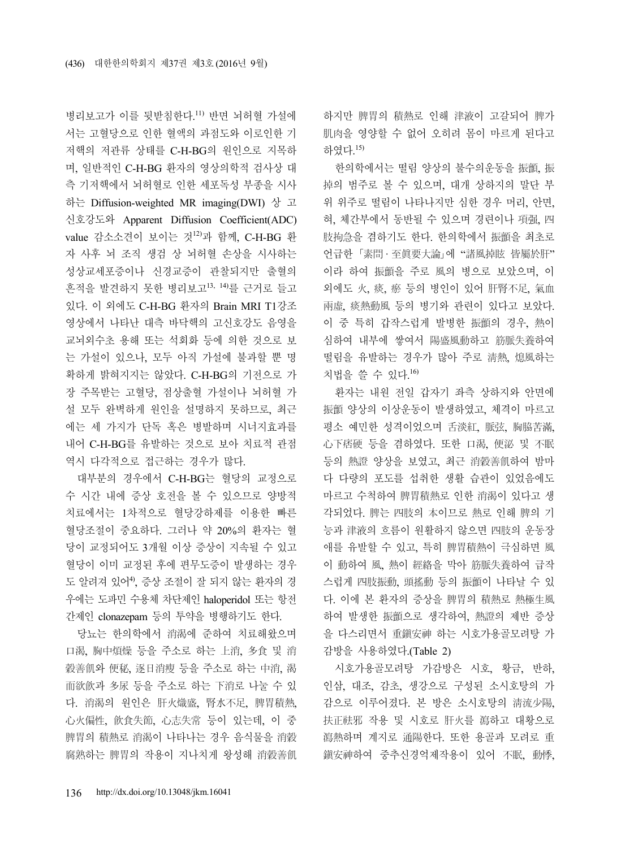병리보고가 이를 뒷받침한다. 11) 반면 뇌허혈 가설에 서는 고혈당으로 인한 혈액의 과점도와 이로인한 기 저핵의 저관류 상태를 C-H-BG의 원인으로 지목하 며, 일반적인 C-H-BG 환자의 영상의학적 검사상 대 측 기저핵에서 뇌허혈로 인한 세포독성 부종을 시사 하는 Diffusion-weighted MR imaging(DWI) 상 고 신호강도와 Apparent Diffusion Coefficient(ADC) value 감소소견이 보이는 것12)과 함께, C-H-BG 환 자 사후 뇌 조직 생검 상 뇌허혈 손상을 시사하는 성상교세포증이나 신경교증이 관찰되지만 출혈의 흔적을 발견하지 못한 병리보고13, 14)를 근거로 들고 있다. 이 외에도 C-H-BG 환자의 Brain MRI T1강조 영상에서 나타난 대측 바닥핵의 고신호강도 음영을 교뇌외수초 용해 또는 석회화 등에 의한 것으로 보 는 가설이 있으나, 모두 아직 가설에 불과할 뿐 명 확하게 밝혀지지는 않았다. C-H-BG의 기전으로 가 장 주목받는 고혈당, 점상출혈 가설이나 뇌허혈 가 설 모두 완벽하게 원인을 설명하지 못하므로, 최근 에는 세 가지가 단독 혹은 병발하며 시너지효과를 내어 C-H-BG를 유발하는 것으로 보아 치료적 관점 역시 다각적으로 접근하는 경우가 많다.

대부분의 경우에서 C-H-BG는 혈당의 교정으로 수 시간 내에 증상 호전을 볼 수 있으므로 양방적 치료에서는 1차적으로 혈당강하제를 이용한 빠른 혈당조절이 중요하다. 그러나 약 20%의 환자는 혈 당이 교정되어도 3개월 이상 증상이 지속될 수 있고 혈당이 이미 교정된 후에 편무도증이 발생하는 경우 도 알려져 있어<sup>4</sup>, 증상 조절이 잘 되지 않는 환자의 경 우에는 도파민 수용체 차단제인 haloperidol 또는 항전 간제인 clonazepam 등의 투약을 병행하기도 한다.

당뇨는 한의학에서 消渴에 준하여 치료해왔으며 口渴, 胸中煩燥 등을 주소로 하는 上消, 多食 및 消 穀善飢와 便秘, 逐日消瘦 등을 주소로 하는 中消, 渴 而欲飮과 多尿 등을 주소로 하는 下消로 나눌 수 있 다. 消渴의 원인은 肝火熾盛, 腎水不足, 脾胃積熱, 心火偏性, 飮食失節, 心志失常 등이 있는데, 이 중 脾胃의 積熱로 消渴이 나타나는 경우 음식물을 消穀 腐熟하는 脾胃의 작용이 지나치게 왕성해 消穀善飢 하지만 脾胃의 積熱로 인해 津液이 고갈되어 脾가 肌肉을 영양할 수 없어 오히려 몸이 마르게 된다고 하였다. 15)

한의학에서는 떨림 양상의 불수의운동을 振顫, 振 掉의 범주로 볼 수 있으며, 대개 상하지의 말단 부 위 위주로 떨림이 나타나지만 심한 경우 머리, 안면, 혀, 체간부에서 동반될 수 있으며 경련이나 項强, 四 肢拘急을 겸하기도 한다. 한의학에서 振顫을 최초로 언급한 「素問 · 至眞要大論」에 "諸風掉眩 皆屬於肝" 이라 하여 振顫을 주로 風의 병으로 보았으며, 이 외에도 火, 痰, 瘀 등의 병인이 있어 肝腎不足, 氣血 兩虛, 痰熱動風 등의 병기와 관련이 있다고 보았다. 이 중 특히 갑작스럽게 발병한 振顫의 경우, 熱이 심하여 내부에 쌓여서 陽盛風動하고 筋脈失養하여 떨림을 유발하는 경우가 많아 주로 淸熱, 熄風하는 치법을 쓸 수 있다. 16)

환자는 내원 전일 갑자기 좌측 상하지와 안면에 振顫 양상의 이상운동이 발생하였고, 체격이 마르고 평소 예민한 성격이었으며 舌淡紅, 脈弦, 胸脇苦滿, 心下痞硬 등을 겸하였다. 또한 口渴, 便泌 및 不眠 등의 熱證 양상을 보였고, 최근 消穀善飢하여 밤마 다 다량의 포도를 섭취한 생활 습관이 있었음에도 마르고 수척하여 脾胃積熱로 인한 消渴이 있다고 생 각되었다. 脾는 四肢의 本이므로 熱로 인해 脾의 기 능과 津液의 흐름이 원활하지 않으면 四肢의 운동장 애를 유발할 수 있고, 특히 脾胃積熱이 극심하면 風 이 動하여 風, 熱이 經絡을 막아 筋脈失養하여 급작 스럽게 四肢振動, 頭搖動 등의 振顫이 나타날 수 있 다. 이에 본 환자의 증상을 脾胃의 積熱로 熱極生風 하여 발생한 振顫으로 생각하여, 熱證의 제반 증상 을 다스리면서 重鎭安神 하는 시호가용골모려탕 가 감방을 사용하였다.(Table 2)

시호가용골모려탕 가감방은 시호, 황금, 반하, 인삼, 대조, 감초, 생강으로 구성된 소시호탕의 가 감으로 이루어졌다. 본 방은 소시호탕의 淸流少陽, 扶正祛邪 작용 및 시호로 肝火를 瀉하고 대황으로 瀉熱하며 계지로 通陽한다. 또한 용골과 모려로 重 鎭安神하여 중추신경억제작용이 있어 不眠, 動悸,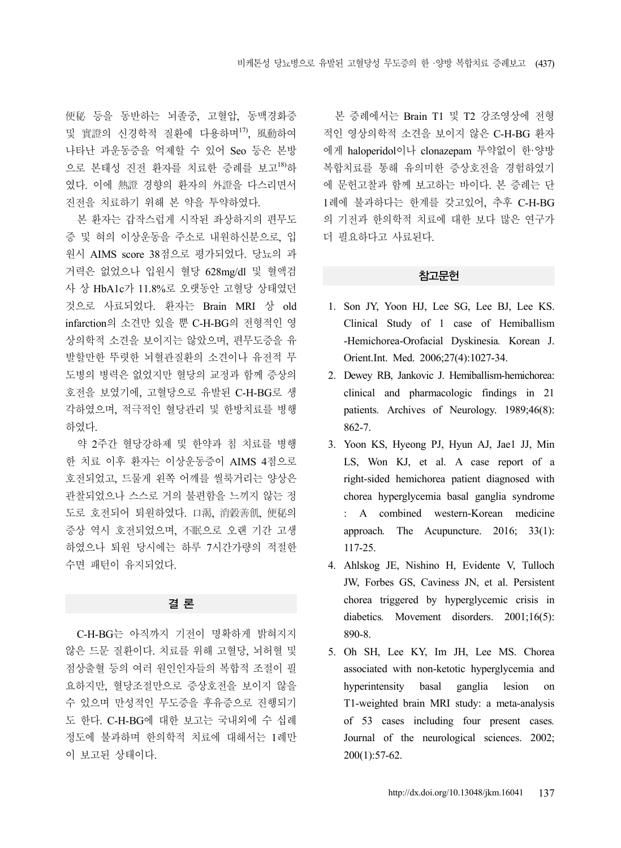便秘 등을 동반하는 뇌졸중, 고혈압, 동맥경화증 및 實證의 신경학적 질환에 다용하며17), 風動하여 나타난 과운동증을 억제할 수 있어 Seo 등은 본방 으로 본태성 진전 환자를 치료한 증례를 보고18)하 였다. 이에 熱證 경향의 환자의 外證을 다스리면서 진전을 치료하기 위해 본 약을 투약하였다.

본 환자는 갑작스럽게 시작된 좌상하지의 편무도 증 및 혀의 이상운동을 주소로 내원하신분으로, 입 원시 AIMS score 38점으로 평가되었다. 당뇨의 과 거력은 없었으나 입원시 혈당 628mg/dl 및 혈액검 사 상 HbA1c가 11.8%로 오랫동안 고혈당 상태였던 것으로 사료되었다. 환자는 Brain MRI 상 old infarction의 소견만 있을 뿐 C-H-BG의 전형적인 영 상의학적 소견을 보이지는 않았으며, 편무도증을 유 발할만한 뚜렷한 뇌혈관질환의 소견이나 유전적 무 도병의 병력은 없었지만 혈당의 교정과 함께 증상의 호전을 보였기에, 고혈당으로 유발된 C-H-BG로 생 각하였으며, 적극적인 혈당관리 및 한방치료를 병행 하였다.

약 2주간 혈당강하제 및 한약과 침 치료를 병행 한 치료 이후 환자는 이상운동증이 AIMS 4점으로 호전되었고, 드물게 왼쪽 어깨를 씰룩거리는 양상은 관찰되었으나 스스로 거의 불편함을 느끼지 않는 정 도로 호전되어 퇴원하였다. 口渴, 消穀善飢, 便秘의 증상 역시 호전되었으며, 不眠으로 오랜 기간 고생 하였으나 퇴원 당시에는 하루 7시간가량의 적절한 수면 패턴이 유지되었다.

# 결 론

C-H-BG는 아직까지 기전이 명확하게 밝혀지지 않은 드문 질환이다. 치료를 위해 고혈당, 뇌허혈 및 점상출혈 등의 여러 원인인자들의 복합적 조절이 필 요하지만, 혈당조절만으로 증상호전을 보이지 않을 수 있으며 만성적인 무도증을 후유증으로 진행되기 도 한다. C-H-BG에 대한 보고는 국내외에 수 십례 정도에 불과하며 한의학적 치료에 대해서는 1례만 이 보고된 상태이다.

본 증례에서는 Brain T1 및 T2 강조영상에 전형 적인 영상의학적 소견을 보이지 않은 C-H-BG 환자 에게 haloperidol이나 clonazepam 투약없이 한·양방 복합치료를 통해 유의미한 증상호전을 경험하였기 에 문헌고찰과 함께 보고하는 바이다. 본 증례는 단 1례에 불과하다는 한계를 갖고있어, 추후 C-H-BG 의 기전과 한의학적 치료에 대한 보다 많은 연구가 더 필요하다고 사료된다.

#### 참고문헌

- 1. Son JY, Yoon HJ, Lee SG, Lee BJ, Lee KS. Clinical Study of 1 case of Hemiballism -Hemichorea-Orofacial Dyskinesia*.* Korean J. Orient.Int. Med. 2006;27(4):1027-34.
- 2. Dewey RB, Jankovic J. Hemiballism-hemichorea: clinical and pharmacologic findings in 21 patients*.* Archives of Neurology. 1989;46(8): 862-7.
- 3. Yoon KS, Hyeong PJ, Hyun AJ, Jae1 JJ, Min LS, Won KJ, et al. A case report of a right-sided hemichorea patient diagnosed with chorea hyperglycemia basal ganglia syndrome : A combined western-Korean medicine approach*.* The Acupuncture. 2016; 33(1): 117-25.
- 4. Ahlskog JE, Nishino H, Evidente V, Tulloch JW, Forbes GS, Caviness JN, et al. Persistent chorea triggered by hyperglycemic crisis in diabetics. Movement disorders. 2001;16(5): 890-8.
- 5. Oh SH, Lee KY, Im JH, Lee MS. Chorea associated with non-ketotic hyperglycemia and hyperintensity basal ganglia lesion on T1-weighted brain MRI study: a meta-analysis of 53 cases including four present cases*.* Journal of the neurological sciences. 2002; 200(1):57-62.